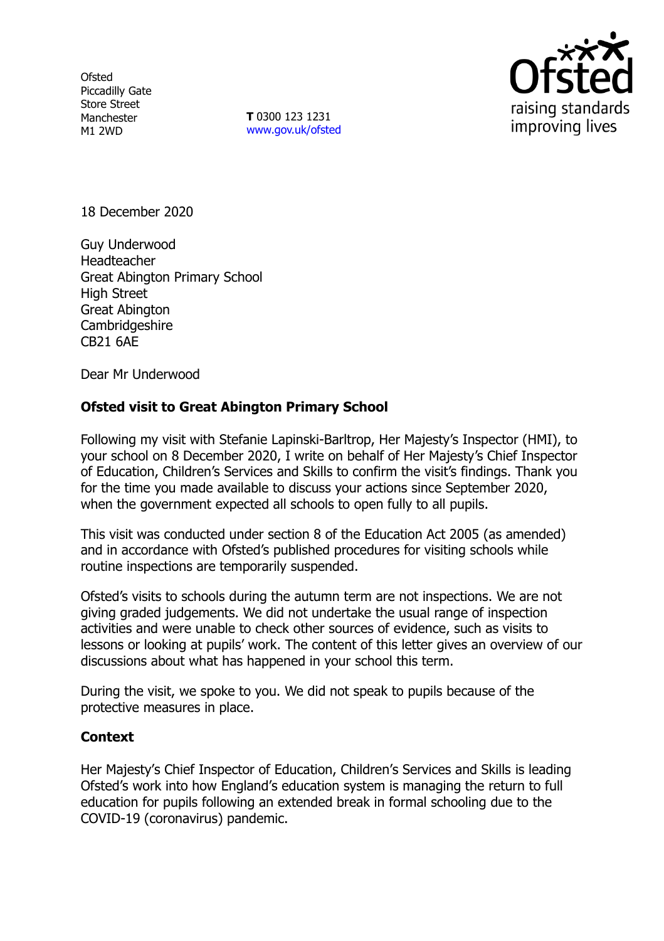**Ofsted** Piccadilly Gate Store Street Manchester M1 2WD

**T** 0300 123 1231 [www.gov.uk/ofsted](http://www.gov.uk/ofsted)



18 December 2020

Guy Underwood Headteacher Great Abington Primary School High Street Great Abington Cambridgeshire CB21 6AE

Dear Mr Underwood

## **Ofsted visit to Great Abington Primary School**

Following my visit with Stefanie Lapinski-Barltrop, Her Majesty's Inspector (HMI), to your school on 8 December 2020, I write on behalf of Her Majesty's Chief Inspector of Education, Children's Services and Skills to confirm the visit's findings. Thank you for the time you made available to discuss your actions since September 2020, when the government expected all schools to open fully to all pupils.

This visit was conducted under section 8 of the Education Act 2005 (as amended) and in accordance with Ofsted's published procedures for visiting schools while routine inspections are temporarily suspended.

Ofsted's visits to schools during the autumn term are not inspections. We are not giving graded judgements. We did not undertake the usual range of inspection activities and were unable to check other sources of evidence, such as visits to lessons or looking at pupils' work. The content of this letter gives an overview of our discussions about what has happened in your school this term.

During the visit, we spoke to you. We did not speak to pupils because of the protective measures in place.

## **Context**

Her Majesty's Chief Inspector of Education, Children's Services and Skills is leading Ofsted's work into how England's education system is managing the return to full education for pupils following an extended break in formal schooling due to the COVID-19 (coronavirus) pandemic.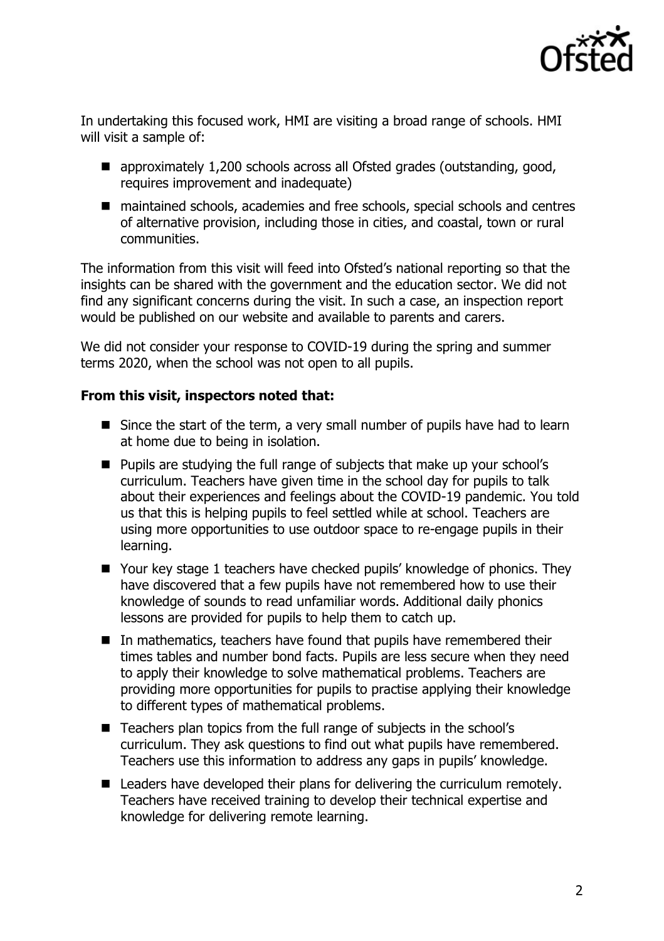

In undertaking this focused work, HMI are visiting a broad range of schools. HMI will visit a sample of:

- approximately 1,200 schools across all Ofsted grades (outstanding, good, requires improvement and inadequate)
- maintained schools, academies and free schools, special schools and centres of alternative provision, including those in cities, and coastal, town or rural communities.

The information from this visit will feed into Ofsted's national reporting so that the insights can be shared with the government and the education sector. We did not find any significant concerns during the visit. In such a case, an inspection report would be published on our website and available to parents and carers.

We did not consider your response to COVID-19 during the spring and summer terms 2020, when the school was not open to all pupils.

## **From this visit, inspectors noted that:**

- Since the start of the term, a very small number of pupils have had to learn at home due to being in isolation.
- Pupils are studying the full range of subjects that make up your school's curriculum. Teachers have given time in the school day for pupils to talk about their experiences and feelings about the COVID-19 pandemic. You told us that this is helping pupils to feel settled while at school. Teachers are using more opportunities to use outdoor space to re-engage pupils in their learning.
- Your key stage 1 teachers have checked pupils' knowledge of phonics. They have discovered that a few pupils have not remembered how to use their knowledge of sounds to read unfamiliar words. Additional daily phonics lessons are provided for pupils to help them to catch up.
- In mathematics, teachers have found that pupils have remembered their times tables and number bond facts. Pupils are less secure when they need to apply their knowledge to solve mathematical problems. Teachers are providing more opportunities for pupils to practise applying their knowledge to different types of mathematical problems.
- Teachers plan topics from the full range of subjects in the school's curriculum. They ask questions to find out what pupils have remembered. Teachers use this information to address any gaps in pupils' knowledge.
- Leaders have developed their plans for delivering the curriculum remotely. Teachers have received training to develop their technical expertise and knowledge for delivering remote learning.